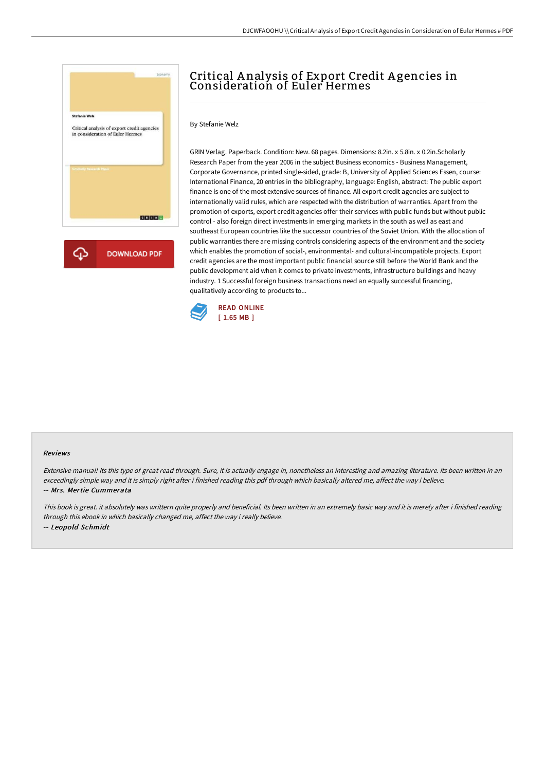

## Critical A nalysis of Export Credit A gencies in Consideration of Euler Hermes

## By Stefanie Welz

GRIN Verlag. Paperback. Condition: New. 68 pages. Dimensions: 8.2in. x 5.8in. x 0.2in.Scholarly Research Paper from the year 2006 in the subject Business economics - Business Management, Corporate Governance, printed single-sided, grade: B, University of Applied Sciences Essen, course: International Finance, 20 entries in the bibliography, language: English, abstract: The public export finance is one of the most extensive sources of finance. All export credit agencies are subject to internationally valid rules, which are respected with the distribution of warranties. Apart from the promotion of exports, export credit agencies offer their services with public funds but without public control - also foreign direct investments in emerging markets in the south as well as east and southeast European countries like the successor countries of the Soviet Union. With the allocation of public warranties there are missing controls considering aspects of the environment and the society which enables the promotion of social-, environmental- and cultural-incompatible projects. Export credit agencies are the most important public financial source still before the World Bank and the public development aid when it comes to private investments, infrastructure buildings and heavy industry. 1 Successful foreign business transactions need an equally successful financing, qualitatively according to products to...



## Reviews

Extensive manual! Its this type of great read through. Sure, it is actually engage in, nonetheless an interesting and amazing literature. Its been written in an exceedingly simple way and it is simply right after i finished reading this pdf through which basically altered me, affect the way i believe. -- Mrs. Mertie Cummerata

This book is great. it absolutely was writtern quite properly and beneficial. Its been written in an extremely basic way and it is merely after i finished reading through this ebook in which basically changed me, affect the way i really believe. -- Leopold Schmidt